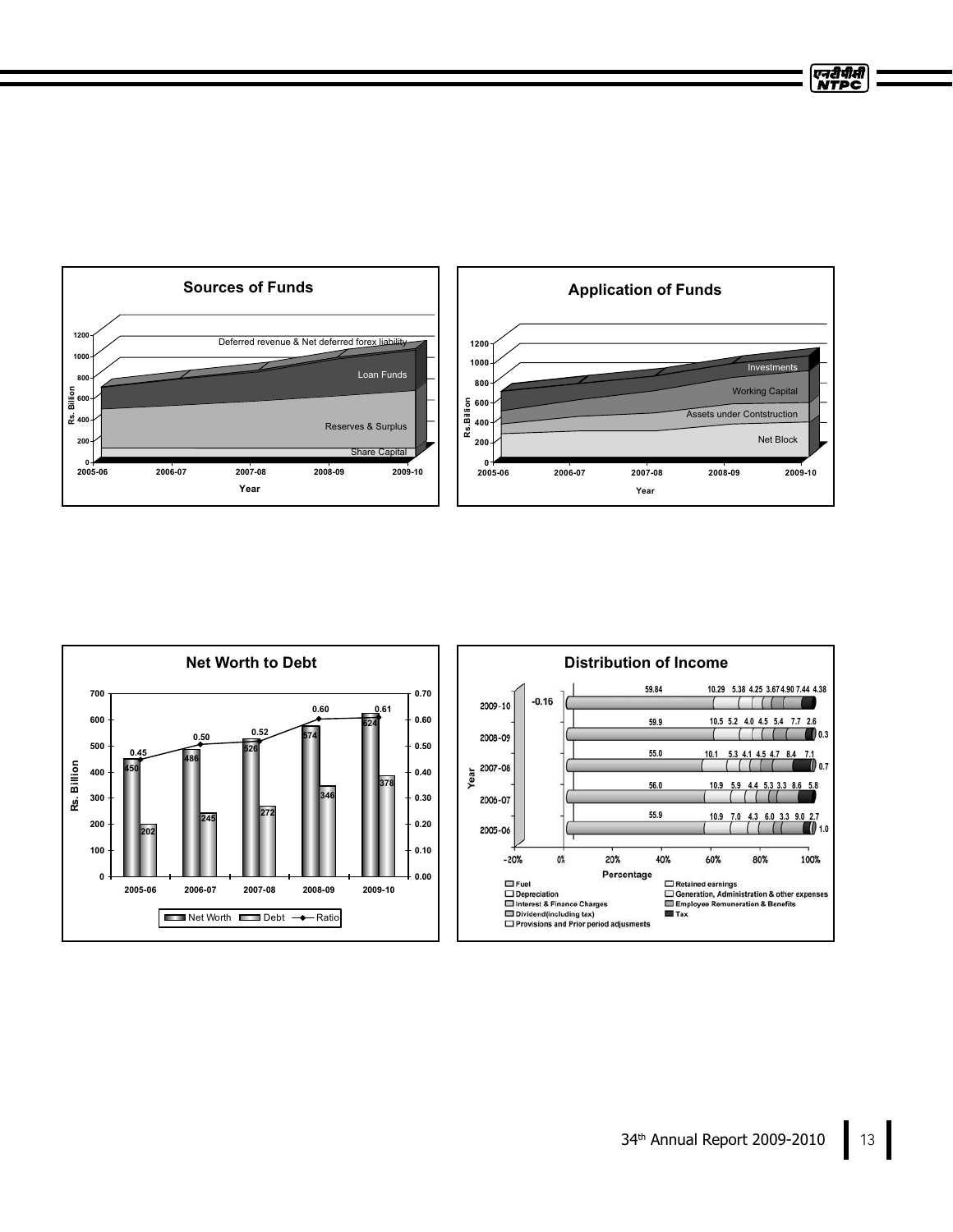

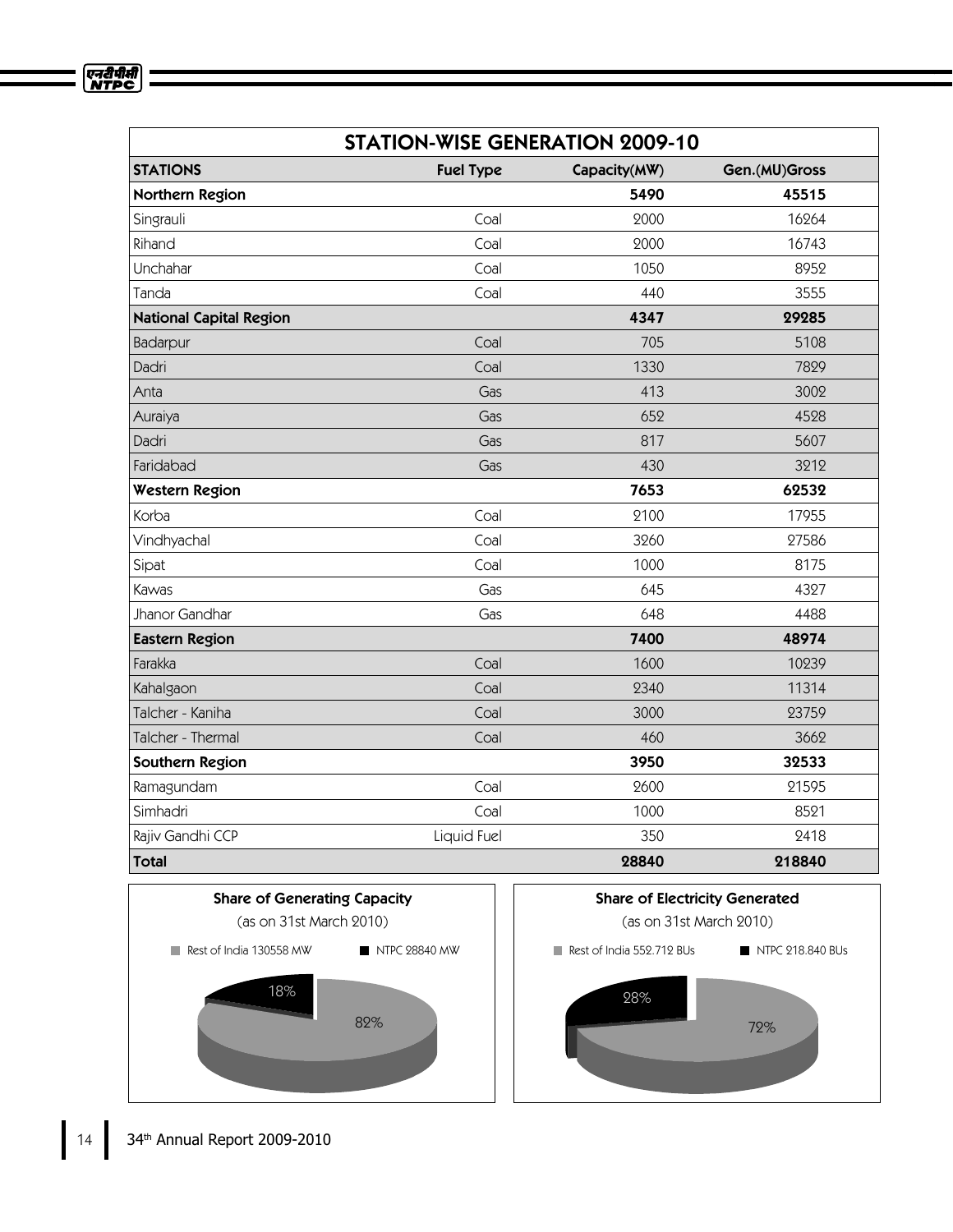| <b>STATION-WISE GENERATION 2009-10</b> |                  |              |               |
|----------------------------------------|------------------|--------------|---------------|
| <b>STATIONS</b>                        | <b>Fuel Type</b> | Capacity(MW) | Gen.(MU)Gross |
| Northern Region                        |                  | 5490         | 45515         |
| Singrauli                              | Coal             | 2000         | 16264         |
| Rihand                                 | Coal             | 2000         | 16743         |
| Unchahar                               | Coal             | 1050         | 8952          |
| Tanda                                  | Coal             | 440          | 3555          |
| <b>National Capital Region</b>         |                  | 4347         | 29285         |
| Badarpur                               | Coal             | 705          | 5108          |
| Dadri                                  | Coal             | 1330         | 7829          |
| Anta                                   | Gas              | 413          | 3002          |
| Auraiya                                | Gas              | 652          | 4528          |
| Dadri                                  | Gas              | 817          | 5607          |
| Faridabad                              | Gas              | 430          | 3212          |
| <b>Western Region</b>                  |                  | 7653         | 62532         |
| Korba                                  | Coal             | 2100         | 17955         |
| Vindhyachal                            | Coal             | 3260         | 27586         |
| Sipat                                  | Coal             | 1000         | 8175          |
| Kawas                                  | Gas              | 645          | 4327          |
| Jhanor Gandhar                         | Gas              | 648          | 4488          |
| <b>Eastern Region</b>                  |                  | 7400         | 48974         |
| Farakka                                | Coal             | 1600         | 10239         |
| Kahalgaon                              | Coal             | 2340         | 11314         |
| Talcher - Kaniha                       | Coal             | 3000         | 23759         |
| Talcher - Thermal                      | Coal             | 460          | 3662          |
| Southern Region                        |                  | 3950         | 32533         |
| Ramagundam                             | Coal             | 2600         | 21595         |
| Simhadri                               | Coal             | 1000         | 8521          |
| Rajiv Gandhi CCP                       | Liquid Fuel      | 350          | 2418          |
| <b>Total</b>                           |                  | 28840        | 218840        |